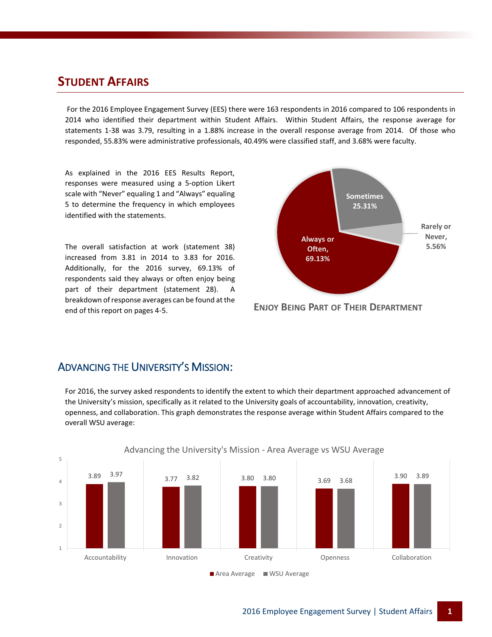### **STUDENT AFFAIRS**

For the 2016 Employee Engagement Survey (EES) there were 163 respondents in 2016 compared to 106 respondents in 2014 who identified their department within Student Affairs. Within Student Affairs, the response average for statements 1-38 was 3.79, resulting in a 1.88% increase in the overall response average from 2014. Of those who responded, 55.83% were administrative professionals, 40.49% were classified staff, and 3.68% were faculty.

As explained in the 2016 EES Results Report, responses were measured using a 5-option Likert scale with "Never" equaling 1 and "Always" equaling 5 to determine the frequency in which employees identified with the statements.

The overall satisfaction at work (statement 38) increased from 3.81 in 2014 to 3.83 for 2016. Additionally, for the 2016 survey, 69.13% of respondents said they always or often enjoy being part of their department (statement 28). A breakdown of response averages can be found at the end of this report on pages 4-5.



**ENJOY BEING PART OF THEIR DEPARTMENT**

#### ADVANCING THE UNIVERSITY'S MISSION:

For 2016, the survey asked respondents to identify the extent to which their department approached advancement of the University's mission, specifically as it related to the University goals of accountability, innovation, creativity, openness, and collaboration. This graph demonstrates the response average within Student Affairs compared to the overall WSU average:



Advancing the University's Mission - Area Average vs WSU Average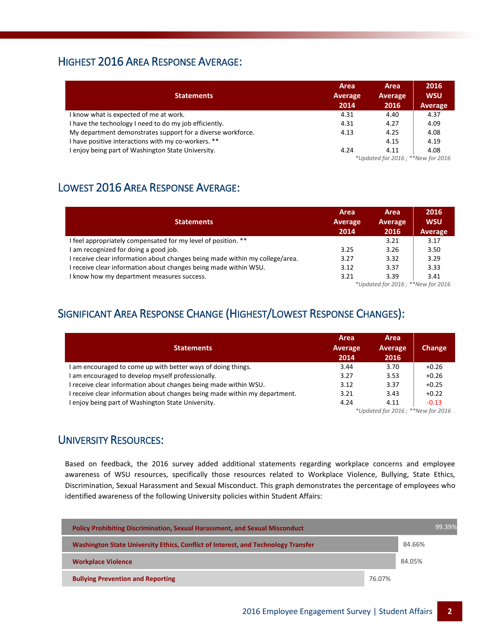#### HIGHEST 2016 AREA RESPONSE AVERAGE:

| <b>Statements</b>                                           | Area<br>Average<br>2014           | Area<br>Average<br>2016 | 2016<br><b>WSU</b><br>Average |  |
|-------------------------------------------------------------|-----------------------------------|-------------------------|-------------------------------|--|
| I know what is expected of me at work.                      | 4.31                              | 4.40                    | 4.37                          |  |
| I have the technology I need to do my job efficiently.      | 4.31                              | 4.27                    | 4.09                          |  |
| My department demonstrates support for a diverse workforce. | 4.13                              | 4.25                    | 4.08                          |  |
| I have positive interactions with my co-workers. **         |                                   | 4.15                    | 4.19                          |  |
| enjoy being part of Washington State University.            | 4.24                              | 4.11                    | 4.08                          |  |
|                                                             | *Updated for 2016; **New for 2016 |                         |                               |  |

## LOWEST 2016 AREA RESPONSE AVERAGE:

| <b>Statements</b>                                                            | Area<br>Average<br>2014                          | Area<br><b>Average</b><br>2016 | 2016<br><b>WSU</b><br>Average |  |
|------------------------------------------------------------------------------|--------------------------------------------------|--------------------------------|-------------------------------|--|
| I feel appropriately compensated for my level of position. **                |                                                  | 3.21                           | 3.17                          |  |
| I am recognized for doing a good job.                                        | 3.25                                             | 3.26                           | 3.50                          |  |
| I receive clear information about changes being made within my college/area. | 3.27                                             | 3.32                           | 3.29                          |  |
| I receive clear information about changes being made within WSU.             | 3.12                                             | 3.37                           | 3.33                          |  |
| I know how my department measures success.                                   | 3.21                                             | 3.39                           | 3.41                          |  |
|                                                                              | $*$ llodated for $201C$ , $*$ $*$ New for $201C$ |                                |                               |  |

*\*Updated for 2016 ; \*\*New for 2016*

## SIGNIFICANT AREA RESPONSE CHANGE (HIGHEST/LOWEST RESPONSE CHANGES):

|                                                                          | Area                   | Area            |               |  |
|--------------------------------------------------------------------------|------------------------|-----------------|---------------|--|
| <b>Statements</b>                                                        | <b>Average</b><br>2014 | Average<br>2016 | <b>Change</b> |  |
|                                                                          |                        |                 |               |  |
| am encouraged to come up with better ways of doing things.               | 3.44                   | 3.70            | $+0.26$       |  |
| am encouraged to develop myself professionally.                          | 3.27                   | 3.53            | $+0.26$       |  |
| receive clear information about changes being made within WSU.           | 3.12                   | 3.37            | $+0.25$       |  |
| receive clear information about changes being made within my department. | 3.21                   | 3.43            | $+0.22$       |  |
| enjoy being part of Washington State University.                         | 4.24                   | 4.11            | $-0.13$       |  |
| *Updated for 2016; **New for 2016                                        |                        |                 |               |  |

#### UNIVERSITY RESOURCES:

Based on feedback, the 2016 survey added additional statements regarding workplace concerns and employee awareness of WSU resources, specifically those resources related to Workplace Violence, Bullying, State Ethics, Discrimination, Sexual Harassment and Sexual Misconduct. This graph demonstrates the percentage of employees who identified awareness of the following University policies within Student Affairs:

| <b>Policy Prohibiting Discrimination, Sexual Harassment, and Sexual Misconduct</b> |        |        | 99.39% |
|------------------------------------------------------------------------------------|--------|--------|--------|
| Washington State University Ethics, Conflict of Interest, and Technology Transfer  |        | 84.66% |        |
| <b>Workplace Violence</b>                                                          |        | 84.05% |        |
| <b>Bullying Prevention and Reporting</b>                                           | 76.07% |        |        |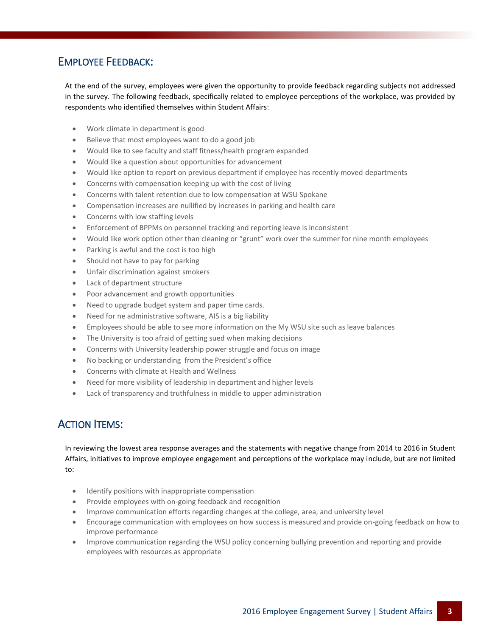#### EMPLOYEE FEEDBACK:

At the end of the survey, employees were given the opportunity to provide feedback regarding subjects not addressed in the survey. The following feedback, specifically related to employee perceptions of the workplace, was provided by respondents who identified themselves within Student Affairs:

- Work climate in department is good
- Believe that most employees want to do a good job
- Would like to see faculty and staff fitness/health program expanded
- Would like a question about opportunities for advancement
- Would like option to report on previous department if employee has recently moved departments
- Concerns with compensation keeping up with the cost of living
- Concerns with talent retention due to low compensation at WSU Spokane
- Compensation increases are nullified by increases in parking and health care
- Concerns with low staffing levels
- Enforcement of BPPMs on personnel tracking and reporting leave is inconsistent
- Would like work option other than cleaning or "grunt" work over the summer for nine month employees
- Parking is awful and the cost is too high
- Should not have to pay for parking
- Unfair discrimination against smokers
- Lack of department structure
- Poor advancement and growth opportunities
- Need to upgrade budget system and paper time cards.
- Need for ne administrative software, AIS is a big liability
- Employees should be able to see more information on the My WSU site such as leave balances
- The University is too afraid of getting sued when making decisions
- Concerns with University leadership power struggle and focus on image
- No backing or understanding from the President's office
- Concerns with climate at Health and Wellness
- Need for more visibility of leadership in department and higher levels
- Lack of transparency and truthfulness in middle to upper administration

## ACTION ITEMS:

In reviewing the lowest area response averages and the statements with negative change from 2014 to 2016 in Student Affairs, initiatives to improve employee engagement and perceptions of the workplace may include, but are not limited to:

- $\bullet$  Identify positions with inappropriate compensation
- Provide employees with on-going feedback and recognition
- Improve communication efforts regarding changes at the college, area, and university level
- Encourage communication with employees on how success is measured and provide on-going feedback on how to improve performance
- Improve communication regarding the WSU policy concerning bullying prevention and reporting and provide employees with resources as appropriate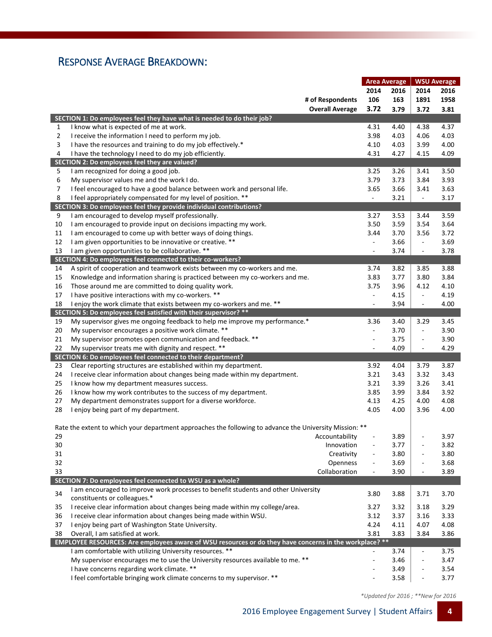## RESPONSE AVERAGE BREAKDOWN:

|    |                                                                                                         |                          | <b>Area Average</b> |                          | <b>WSU Average</b> |  |
|----|---------------------------------------------------------------------------------------------------------|--------------------------|---------------------|--------------------------|--------------------|--|
|    |                                                                                                         | 2014                     | 2016                | 2014                     | 2016               |  |
|    | # of Respondents                                                                                        | 106                      | 163                 | 1891                     | 1958               |  |
|    | <b>Overall Average</b>                                                                                  | 3.72                     | 3.79                | 3.72                     | 3.81               |  |
|    | SECTION 1: Do employees feel they have what is needed to do their job?                                  |                          |                     |                          |                    |  |
| 1  | I know what is expected of me at work.                                                                  | 4.31                     | 4.40                | 4.38                     | 4.37               |  |
| 2  | I receive the information I need to perform my job.                                                     | 3.98                     | 4.03                | 4.06                     | 4.03               |  |
| 3  | I have the resources and training to do my job effectively.*                                            | 4.10                     | 4.03                | 3.99                     | 4.00               |  |
|    |                                                                                                         | 4.31                     |                     |                          |                    |  |
| 4  | I have the technology I need to do my job efficiently.                                                  |                          | 4.27                | 4.15                     | 4.09               |  |
|    | SECTION 2: Do employees feel they are valued?<br>I am recognized for doing a good job.                  |                          |                     |                          |                    |  |
| 5  |                                                                                                         | 3.25                     | 3.26                | 3.41                     | 3.50               |  |
| 6  | My supervisor values me and the work I do.                                                              | 3.79                     | 3.73                | 3.84                     | 3.93               |  |
| 7  | I feel encouraged to have a good balance between work and personal life.                                | 3.65                     | 3.66                | 3.41                     | 3.63               |  |
| 8  | I feel appropriately compensated for my level of position. **                                           | $\overline{\phantom{a}}$ | 3.21                | $\overline{\phantom{a}}$ | 3.17               |  |
|    | SECTION 3: Do employees feel they provide individual contributions?                                     |                          |                     |                          |                    |  |
| 9  | I am encouraged to develop myself professionally.                                                       | 3.27                     | 3.53                | 3.44                     | 3.59               |  |
| 10 | I am encouraged to provide input on decisions impacting my work.                                        | 3.50                     | 3.59                | 3.54                     | 3.64               |  |
| 11 | I am encouraged to come up with better ways of doing things.                                            | 3.44                     | 3.70                | 3.56                     | 3.72               |  |
| 12 | I am given opportunities to be innovative or creative. **                                               | $\overline{\phantom{a}}$ | 3.66                | $\overline{\phantom{a}}$ | 3.69               |  |
| 13 | I am given opportunities to be collaborative. **                                                        | $\overline{\phantom{a}}$ | 3.74                | $\overline{\phantom{a}}$ | 3.78               |  |
|    | SECTION 4: Do employees feel connected to their co-workers?                                             |                          |                     |                          |                    |  |
| 14 | A spirit of cooperation and teamwork exists between my co-workers and me.                               | 3.74                     | 3.82                | 3.85                     | 3.88               |  |
| 15 | Knowledge and information sharing is practiced between my co-workers and me.                            | 3.83                     | 3.77                | 3.80                     | 3.84               |  |
| 16 | Those around me are committed to doing quality work.                                                    | 3.75                     | 3.96                | 4.12                     | 4.10               |  |
| 17 | I have positive interactions with my co-workers. **                                                     | $\overline{\phantom{a}}$ | 4.15                | $\overline{\phantom{a}}$ | 4.19               |  |
| 18 | I enjoy the work climate that exists between my co-workers and me. **                                   | $\overline{\phantom{a}}$ | 3.94                | $\overline{\phantom{a}}$ | 4.00               |  |
|    | SECTION 5: Do employees feel satisfied with their supervisor? **                                        |                          |                     |                          |                    |  |
| 19 | My supervisor gives me ongoing feedback to help me improve my performance.*                             | 3.36                     | 3.40                | 3.29                     | 3.45               |  |
| 20 | My supervisor encourages a positive work climate. **                                                    | $\blacksquare$           | 3.70                | $\Box$                   | 3.90               |  |
| 21 | My supervisor promotes open communication and feedback. **                                              | $\overline{\phantom{a}}$ | 3.75                | $\overline{\phantom{a}}$ | 3.90               |  |
| 22 | My supervisor treats me with dignity and respect. **                                                    |                          | 4.09                | $\overline{\phantom{a}}$ | 4.29               |  |
|    | SECTION 6: Do employees feel connected to their department?                                             |                          |                     |                          |                    |  |
| 23 | Clear reporting structures are established within my department.                                        | 3.92                     | 4.04                | 3.79                     | 3.87               |  |
| 24 | I receive clear information about changes being made within my department.                              | 3.21                     | 3.43                | 3.32                     | 3.43               |  |
| 25 | I know how my department measures success.                                                              | 3.21                     | 3.39                | 3.26                     | 3.41               |  |
| 26 | I know how my work contributes to the success of my department.                                         | 3.85                     | 3.99                | 3.84                     | 3.92               |  |
| 27 | My department demonstrates support for a diverse workforce.                                             | 4.13                     | 4.25                | 4.00                     | 4.08               |  |
| 28 | I enjoy being part of my department.                                                                    | 4.05                     | 4.00                | 3.96                     | 4.00               |  |
|    |                                                                                                         |                          |                     |                          |                    |  |
|    | Rate the extent to which your department approaches the following to advance the University Mission: ** |                          |                     |                          |                    |  |
| 29 | Accountability                                                                                          |                          | 3.89                |                          | 3.97               |  |
| 30 | Innovation                                                                                              |                          | 3.77                | $\overline{\phantom{a}}$ | 3.82               |  |
| 31 | Creativity                                                                                              |                          | 3.80                |                          | 3.80               |  |
| 32 | Openness                                                                                                | $\overline{\phantom{a}}$ | 3.69                | $\overline{\phantom{a}}$ | 3.68               |  |
| 33 | Collaboration                                                                                           |                          | 3.90                | $\overline{\phantom{a}}$ | 3.89               |  |
|    | SECTION 7: Do employees feel connected to WSU as a whole?                                               |                          |                     |                          |                    |  |
|    | I am encouraged to improve work processes to benefit students and other University                      |                          |                     |                          |                    |  |
| 34 | constituents or colleagues.*                                                                            | 3.80                     | 3.88                | 3.71                     | 3.70               |  |
| 35 | I receive clear information about changes being made within my college/area.                            | 3.27                     | 3.32                | 3.18                     | 3.29               |  |
| 36 | I receive clear information about changes being made within WSU.                                        | 3.12                     | 3.37                | 3.16                     | 3.33               |  |
| 37 | I enjoy being part of Washington State University.                                                      | 4.24                     | 4.11                | 4.07                     | 4.08               |  |
| 38 | Overall, I am satisfied at work.                                                                        | 3.81                     | 3.83                | 3.84                     | 3.86               |  |
|    | EMPLOYEE RESOURCES: Are employees aware of WSU resources or do they have concerns in the workplace? **  |                          |                     |                          |                    |  |
|    | I am comfortable with utilizing University resources. **                                                |                          |                     |                          |                    |  |
|    |                                                                                                         |                          | 3.74                | $\overline{\phantom{a}}$ | 3.75               |  |
|    | My supervisor encourages me to use the University resources available to me. **                         |                          | 3.46                | $\overline{\phantom{a}}$ | 3.47               |  |
|    | I have concerns regarding work climate. **                                                              |                          | 3.49                | $\overline{\phantom{a}}$ | 3.54               |  |
|    | I feel comfortable bringing work climate concerns to my supervisor. **                                  |                          | 3.58                | $\Box$                   | 3.77               |  |

 *\*Updated for 2016 ; \*\*New for 2016*